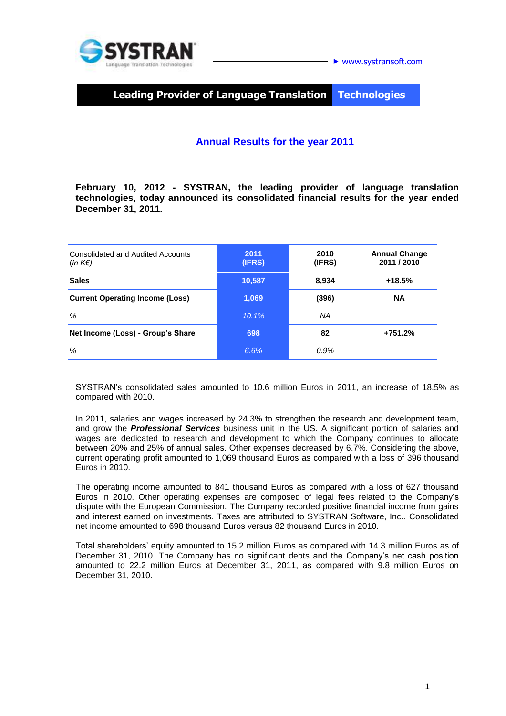

**Leading Provider of Language Translation Technologies**

## **Annual Results for the year 2011**

**February 10, 2012 - SYSTRAN, the leading provider of language translation technologies, today announced its consolidated financial results for the year ended December 31, 2011.**

| Consolidated and Audited Accounts<br>$(in K \in )$ | 2011<br>(IFRS) | 2010<br>(IFRS) | <b>Annual Change</b><br>2011 / 2010 |
|----------------------------------------------------|----------------|----------------|-------------------------------------|
| <b>Sales</b>                                       | 10,587         | 8,934          | $+18.5%$                            |
| <b>Current Operating Income (Loss)</b>             | 1,069          | (396)          | <b>NA</b>                           |
| %                                                  | $10.1\%$       | ΝA             |                                     |
| Net Income (Loss) - Group's Share                  | 698            | 82             | +751.2%                             |
| %                                                  | 6.6%           | 0.9%           |                                     |

SYSTRAN's consolidated sales amounted to 10.6 million Euros in 2011, an increase of 18.5% as compared with 2010.

In 2011, salaries and wages increased by 24.3% to strengthen the research and development team, and grow the *Professional Services* business unit in the US. A significant portion of salaries and wages are dedicated to research and development to which the Company continues to allocate between 20% and 25% of annual sales. Other expenses decreased by 6.7%. Considering the above, current operating profit amounted to 1,069 thousand Euros as compared with a loss of 396 thousand Euros in 2010.

The operating income amounted to 841 thousand Euros as compared with a loss of 627 thousand Euros in 2010. Other operating expenses are composed of legal fees related to the Company's dispute with the European Commission. The Company recorded positive financial income from gains and interest earned on investments. Taxes are attributed to SYSTRAN Software, Inc.. Consolidated net income amounted to 698 thousand Euros versus 82 thousand Euros in 2010.

Total shareholders' equity amounted to 15.2 million Euros as compared with 14.3 million Euros as of December 31, 2010. The Company has no significant debts and the Company's net cash position amounted to 22.2 million Euros at December 31, 2011, as compared with 9.8 million Euros on December 31, 2010.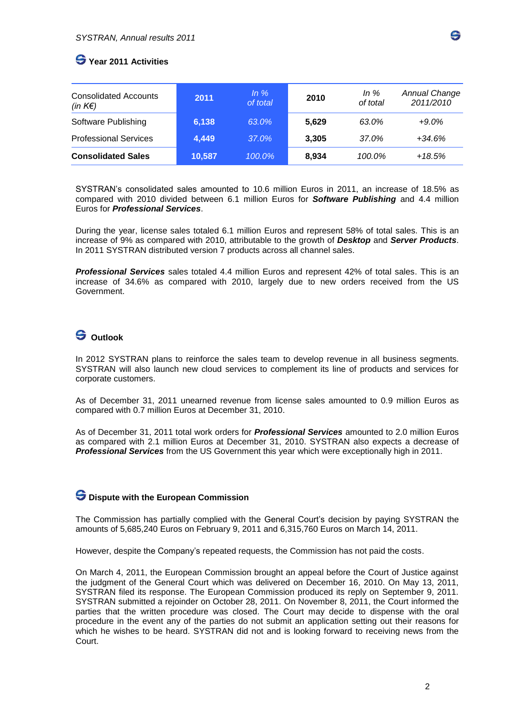# **Year 2011 Activities**

| <b>Consolidated Accounts</b><br>(in $K \in \mathcal{E}$ ) | 2011   | $ln \%$<br>of total | 2010  | In $%$<br>of total | <b>Annual Change</b><br>2011/2010 |
|-----------------------------------------------------------|--------|---------------------|-------|--------------------|-----------------------------------|
| Software Publishing                                       | 6,138  | 63.0%               | 5,629 | 63.0%              | $+9.0\%$                          |
| <b>Professional Services</b>                              | 4.449  | 37.0%               | 3.305 | 37.0%              | $+34.6%$                          |
| <b>Consolidated Sales</b>                                 | 10,587 | 100.0%              | 8,934 | 100.0%             | $+18.5%$                          |

SYSTRAN's consolidated sales amounted to 10.6 million Euros in 2011, an increase of 18.5% as compared with 2010 divided between 6.1 million Euros for *Software Publishing* and 4.4 million Euros for *Professional Services*.

During the year, license sales totaled 6.1 million Euros and represent 58% of total sales. This is an increase of 9% as compared with 2010, attributable to the growth of *Desktop* and *Server Products*. In 2011 SYSTRAN distributed version 7 products across all channel sales.

*Professional Services* sales totaled 4.4 million Euros and represent 42% of total sales. This is an increase of 34.6% as compared with 2010, largely due to new orders received from the US Government.

## **Outlook**

In 2012 SYSTRAN plans to reinforce the sales team to develop revenue in all business segments. SYSTRAN will also launch new cloud services to complement its line of products and services for corporate customers.

As of December 31, 2011 unearned revenue from license sales amounted to 0.9 million Euros as compared with 0.7 million Euros at December 31, 2010.

As of December 31, 2011 total work orders for *Professional Services* amounted to 2.0 million Euros as compared with 2.1 million Euros at December 31, 2010. SYSTRAN also expects a decrease of *Professional Services* from the US Government this year which were exceptionally high in 2011.

#### **Dispute with the European Commission**

The Commission has partially complied with the General Court's decision by paying SYSTRAN the amounts of 5,685,240 Euros on February 9, 2011 and 6,315,760 Euros on March 14, 2011.

However, despite the Company's repeated requests, the Commission has not paid the costs.

On March 4, 2011, the European Commission brought an appeal before the Court of Justice against the judgment of the General Court which was delivered on December 16, 2010. On May 13, 2011, SYSTRAN filed its response. The European Commission produced its reply on September 9, 2011. SYSTRAN submitted a rejoinder on October 28, 2011. On November 8, 2011, the Court informed the parties that the written procedure was closed. The Court may decide to dispense with the oral procedure in the event any of the parties do not submit an application setting out their reasons for which he wishes to be heard. SYSTRAN did not and is looking forward to receiving news from the Court.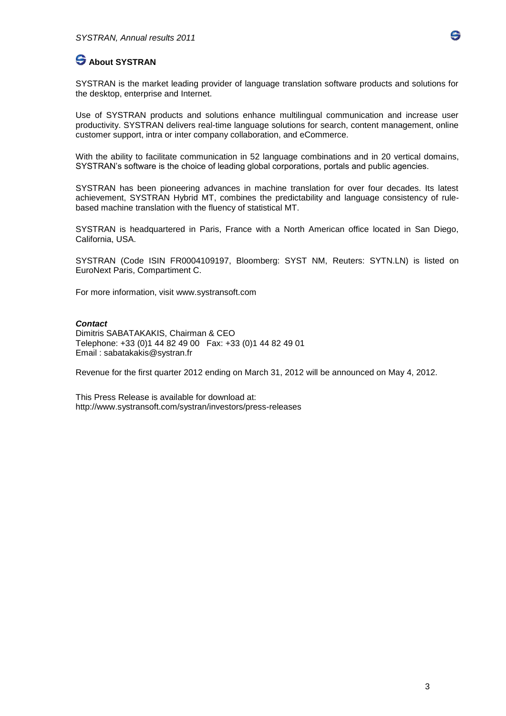

SYSTRAN is the market leading provider of language translation software products and solutions for the desktop, enterprise and Internet.

Use of SYSTRAN products and solutions enhance multilingual communication and increase user productivity. SYSTRAN delivers real-time language solutions for search, content management, online customer support, intra or inter company collaboration, and eCommerce.

With the ability to facilitate communication in 52 language combinations and in 20 vertical domains, SYSTRAN's software is the choice of leading global corporations, portals and public agencies.

SYSTRAN has been pioneering advances in machine translation for over four decades. Its latest achievement, SYSTRAN Hybrid MT, combines the predictability and language consistency of rulebased machine translation with the fluency of statistical MT.

SYSTRAN is headquartered in Paris, France with a North American office located in San Diego, California, USA.

SYSTRAN (Code ISIN FR0004109197, Bloomberg: SYST NM, Reuters: SYTN.LN) is listed on EuroNext Paris, Compartiment C.

For more information, visit [www.systransoft.com](http://www.systransoft.com/)

#### *Contact*

Dimitris SABATAKAKIS, Chairman & CEO Telephone: +33 (0)1 44 82 49 00 Fax: +33 (0)1 44 82 49 01 Email : sabatakakis@systran.fr

Revenue for the first quarter 2012 ending on March 31, 2012 will be announced on May 4, 2012.

This Press Release is available for download at: http://www.systransoft.com/systran/investors/press-releases

G